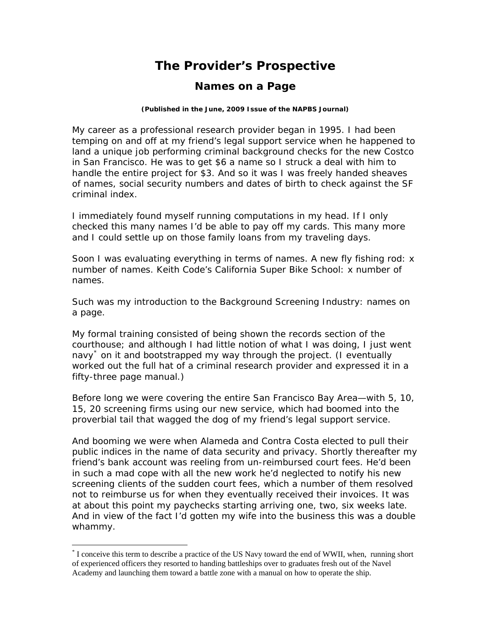## **The Provider's Prospective**

## **Names on a Page**

## **(Published in the June, 2009 Issue of the** *NAPBS Journal***)**

My career as a professional research provider began in 1995. I had been temping on and off at my friend's legal support service when he happened to land a unique job performing criminal background checks for the new Costco in San Francisco. He was to get \$6 a name so I struck a deal with him to handle the entire project for \$3. And so it was I was freely handed sheaves of names, social security numbers and dates of birth to check against the SF criminal index.

I immediately found myself running computations in my head. If I only checked this many names I'd be able to pay off my cards. This many more and I could settle up on those family loans from my traveling days.

Soon I was evaluating everything in terms of names. A new fly fishing rod: x number of names. Keith Code's California Super Bike School: x number of names.

Such was my introduction to the Background Screening Industry: names on a page.

My formal training consisted of being shown the records section of the courthouse; and although I had little notion of what I was doing, I just *went navy*[\\*](#page-0-0) on it and bootstrapped my way through the project. (I eventually worked out the full hat of a criminal research provider and expressed it in a fifty-three page manual.)

Before long we were covering the entire San Francisco Bay Area—with 5, 10, 15, 20 screening firms using our new service, which had boomed into the proverbial tail that wagged the dog of my friend's legal support service.

And booming we were when Alameda and Contra Costa elected to pull their public indices in the name of data security and privacy. Shortly thereafter my friend's bank account was reeling from un-reimbursed court fees. He'd been in such a mad cope with all the new work he'd neglected to notify his new screening clients of the sudden court fees, which a number of them resolved not to reimburse us for when they eventually received their invoices. It was at about this point my paychecks starting arriving one, two, six weeks late. And in view of the fact I'd gotten my wife into the business this was a double whammy.

 $\overline{a}$ 

<span id="page-0-0"></span><sup>\*</sup> I conceive this term to describe a practice of the US Navy toward the end of WWII, when, running short of experienced officers they resorted to handing battleships over to graduates fresh out of the Navel Academy and launching them toward a battle zone with a manual on how to operate the ship.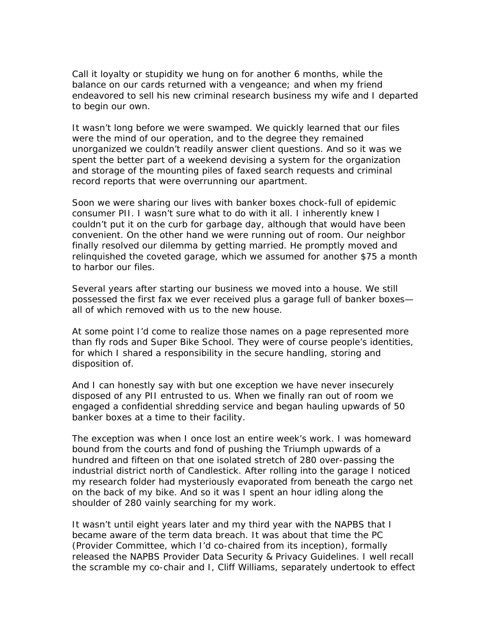Call it loyalty or stupidity we hung on for another 6 months, while the balance on our cards returned with a vengeance; and when my friend endeavored to sell his new criminal research business my wife and I departed to begin our own.

It wasn't long before we were swamped. We quickly learned that our files were the mind of our operation, and to the degree they remained unorganized we couldn't readily answer client questions. And so it was we spent the better part of a weekend devising a system for the organization and storage of the mounting piles of faxed search requests and criminal record reports that were overrunning our apartment.

Soon we were sharing our lives with banker boxes chock-full of epidemic consumer PII. I wasn't sure what to do with it all. I inherently knew I couldn't put it on the curb for garbage day, although that would have been convenient. On the other hand we were running out of room. Our neighbor finally resolved our dilemma by getting married. He promptly moved and relinquished the coveted garage, which we assumed for another \$75 a month to harbor our files.

Several years after starting our business we moved into a house. We still possessed the first fax we ever received plus a garage full of banker boxes all of which removed with us to the new house.

At some point I'd come to realize those names on a page represented more than fly rods and Super Bike School. They were of course people's identities, for which I shared a responsibility in the secure handling, storing and disposition of.

And I can honestly say with but one exception we have never insecurely disposed of any PII entrusted to us. When we finally ran out of room we engaged a confidential shredding service and began hauling upwards of 50 banker boxes at a time to their facility.

The exception was when I once lost an entire week's work. I was homeward bound from the courts and fond of pushing the Triumph upwards of a hundred and fifteen on that one isolated stretch of 280 over-passing the industrial district north of Candlestick. After rolling into the garage I noticed my research folder had mysteriously evaporated from beneath the cargo net on the back of my bike. And so it was I spent an hour idling along the shoulder of 280 vainly searching for my work.

It wasn't until eight years later and my third year with the NAPBS that I became aware of the term *data breach*. It was about that time the PC (Provider Committee, which I'd co-chaired from its inception), formally released the *NAPBS Provider Data Security & Privacy Guidelines*. I well recall the scramble my co-chair and I, Cliff Williams, separately undertook to effect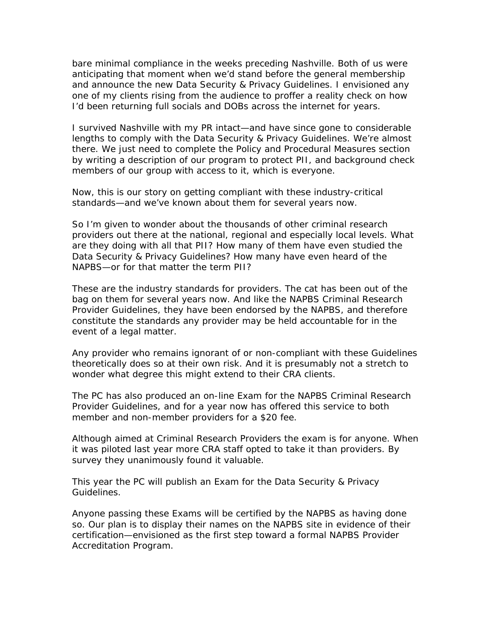bare minimal compliance in the weeks preceding Nashville. Both of us were anticipating that moment when we'd stand before the general membership and announce the new *Data Security & Privacy Guidelines*. I envisioned any one of my clients rising from the audience to proffer a reality check on how I'd been returning full socials and DOBs across the internet for years.

I survived Nashville with my PR intact—and have since gone to considerable lengths to comply with the *Data Security & Privacy Guidelines.* We're almost there. We just need to complete the *Policy and Procedural Measures* section by writing a description of our program to protect PII, and background check members of our group with access to it, which is everyone.

Now, this is *our* story on getting compliant with these industry-critical standards—and we've known about them for several years now.

So I'm given to wonder about the thousands of other criminal research providers out there at the national, regional and especially local levels. What are *they* doing with all that PII? How many of them have even studied the *Data Security & Privacy Guidelines*? How many have even heard of the NAPBS—or for that matter the term *PII*?

These *are* the industry standards for providers. The cat has been out of the bag on them for several years now. And like the *NAPBS Criminal Research Provider Guidelines,* they have been endorsed by the NAPBS, and therefore constitute *the standards* any provider may be held accountable for in the event of a legal matter.

Any provider who remains ignorant of or non-compliant with these Guidelines theoretically does so at their own risk. And it is presumably not a stretch to wonder what degree this might extend to their CRA clients.

The PC has also produced an on-line Exam for the *NAPBS Criminal Research Provider Guidelines*, and for a year now has offered this service to both member and non-member providers for a \$20 fee.

Although aimed at Criminal Research Providers the exam is for anyone. When it was piloted last year more CRA staff opted to take it than providers. By survey they unanimously found it valuable.

This year the PC will publish an Exam for the *Data Security & Privacy Guidelines*.

Anyone passing these Exams will be certified by the NAPBS as having done so. Our plan is to display their names on the NAPBS site in evidence of their certification—envisioned as the first step toward a formal NAPBS Provider Accreditation Program.